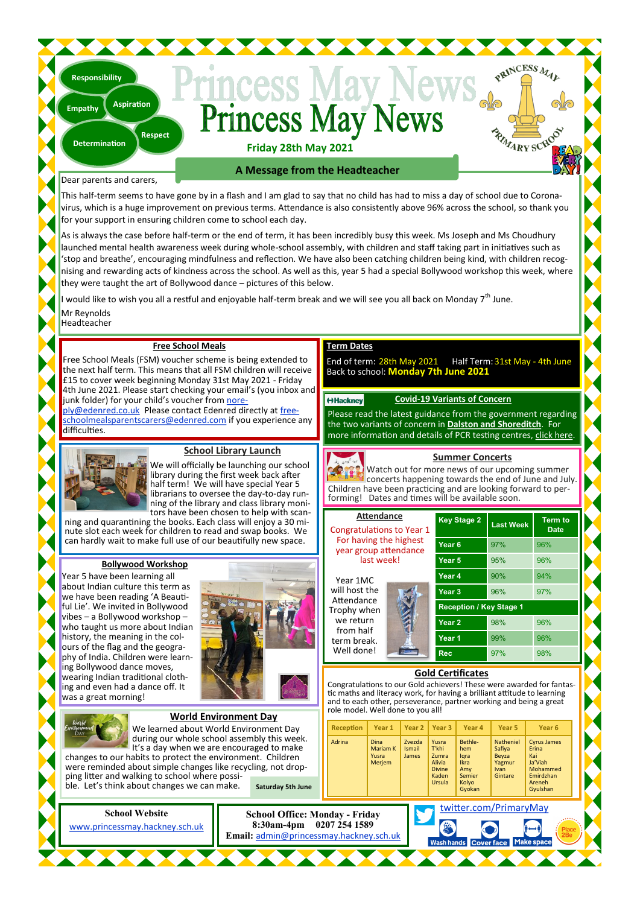# Princess May N

**Friday 28th May 2021**

Dear parents and carers,

**Determination**

**Responsibility**

**Empathy**

**Respect**

**Aspiration**

This half-term seems to have gone by in a flash and I am glad to say that no child has had to miss a day of school due to Coronavirus, which is a huge improvement on previous terms. Attendance is also consistently above 96% across the school, so thank you for your support in ensuring children come to school each day.

**A Message from the Headteacher**

As is always the case before half-term or the end of term, it has been incredibly busy this week. Ms Joseph and Ms Choudhury launched mental health awareness week during whole-school assembly, with children and staff taking part in initiatives such as 'stop and breathe', encouraging mindfulness and reflection. We have also been catching children being kind, with children recognising and rewarding acts of kindness across the school. As well as this, year 5 had a special Bollywood workshop this week, where they were taught the art of Bollywood dance – pictures of this below.

would like to wish you all a restful and enjoyable half-term break and we will see you all back on Monday 7<sup>th</sup> June.

Mr Reynolds

Headteacher

#### **Free School Meals**

Free School Meals (FSM) voucher scheme is being extended to the next half term. This means that all FSM children will receive £15 to cover week beginning Monday 31st May 2021 - Friday 4th June 2021. Please start checking your email's (you inbox and junk folder) for your child's voucher from [nore-](mailto:noreply@edenred.co.uk)

[ply@edenred.co.uk.](mailto:noreply@edenred.co.uk) Please contact Edenred directly at [free](mailto:freeschoolmealsparentscarers@edenred.com)[schoolmealsparentscarers@edenred.com](mailto:freeschoolmealsparentscarers@edenred.com) if you experience any difficulties.



#### **School Library Launch**

We will officially be launching our school library during the first week back after half term! We will have special Year 5 librarians to oversee the day-to-day running of the library and class library monitors have been chosen to help with scan-

ning and quarantining the books. Each class will enjoy a 30 minute slot each week for children to read and swap books. We can hardly wait to make full use of our beautifully new space.

#### **Bollywood Workshop**

Year 5 have been learning all about Indian culture this term as we have been reading 'A Beautiful Lie'. We invited in Bollywood vibes – a Bollywood workshop – who taught us more about Indian history, the meaning in the colours of the flag and the geography of India. Children were learning Bollywood dance moves, wearing Indian traditional clothing and even had a dance off. It was a great morning!



### **Term Dates**

End of term: 28th May 2021 Half Term: 31st May - 4th June Back to school: **Monday 7th June 2021**

#### **HHackney**

**Covid-19 Variants of Concern**

PRINCESS MAL

RIVARY SCROC

Please read the latest guidance from the government regarding the two variants of concern in **[Dalston and Shoreditch](https://hackney.gov.uk/test)**. For more information and details of PCR testing centres, [click here.](https://hackney.gov.uk/test)

#### **Summer Concerts**

Watch out for more news of our upcoming summer concerts happening towards the end of June and July. Children have been practicing and are looking forward to performing! Dates and times will be available soon.

| <b>Attendance</b><br><b>Congratulations to Year 1</b><br>For having the highest<br>year group attendance<br>last week! | <b>Key Stage 2</b>             | <b>Last Week</b> | <b>Term to</b><br><b>Date</b> |  |  |  |
|------------------------------------------------------------------------------------------------------------------------|--------------------------------|------------------|-------------------------------|--|--|--|
|                                                                                                                        | Year <sub>6</sub>              | 97%              | 96%                           |  |  |  |
|                                                                                                                        | Year 5                         | 95%              | 96%                           |  |  |  |
| Year 1MC<br>will host the<br>Attendance<br>Trophy when<br>we return<br>from half<br>term break.<br>Well done!          | Year 4                         | 90%              | 94%                           |  |  |  |
|                                                                                                                        | Year <sub>3</sub>              | 96%              | 97%                           |  |  |  |
|                                                                                                                        | <b>Reception / Key Stage 1</b> |                  |                               |  |  |  |
|                                                                                                                        | Year <sub>2</sub>              | 98%              | 96%                           |  |  |  |
|                                                                                                                        | Year <sub>1</sub>              | 99%              | 96%                           |  |  |  |
|                                                                                                                        | <b>Rec</b>                     | 97%              | 98%                           |  |  |  |

#### **Gold Certificates**

Congratulations to our Gold achievers! These were awarded for fantastic maths and literacy work, for having a brilliant attitude to learning and to each other, perseverance, partner working and being a great role model. Well done to you all!

|                                                                                                                                                                                                                                                                                                                                                                                                    | World Environment Dav    |        |                                                   |                                  |                                                                       |                                                                           |                                                           |                                                                                              |        |  |
|----------------------------------------------------------------------------------------------------------------------------------------------------------------------------------------------------------------------------------------------------------------------------------------------------------------------------------------------------------------------------------------------------|--------------------------|--------|---------------------------------------------------|----------------------------------|-----------------------------------------------------------------------|---------------------------------------------------------------------------|-----------------------------------------------------------|----------------------------------------------------------------------------------------------|--------|--|
| tulorld<br>Environment<br>DAY<br>We learned about World Environment Day<br>during our whole school assembly this week.<br>It's a day when we are encouraged to make<br>changes to our habits to protect the environment. Children<br>were reminded about simple changes like recycling, not drop-<br>ping litter and walking to school where possi-<br>ble. Let's think about changes we can make. |                          |        | Reception                                         | Year 1                           |                                                                       | Year 2   Year 3                                                           | Year 4                                                    | Year <sub>5</sub>                                                                            | Year 6 |  |
|                                                                                                                                                                                                                                                                                                                                                                                                    |                          | Adrina | <b>Dina</b><br><b>Mariam K</b><br>Yusra<br>Merjem | Zvezda<br><b>Ismail</b><br>James | Yusra<br>T'khi<br>Zumra<br>Alivia<br><b>Divine</b><br>Kaden<br>Ursula | Bethle-<br>hem<br>lgra<br><b>Ikra</b><br>Amy<br>Semier<br>Kolvo<br>Gyokan | Natheniel<br>Safiva<br>Bevza<br>Yagmur<br>Ivan<br>Gintare | <b>Cyrus James</b><br>Erina<br>Kai<br>Ja'Viah<br>Mohammed<br>Emirdzhan<br>Areneh<br>Gyulshan |        |  |
|                                                                                                                                                                                                                                                                                                                                                                                                    | <b>Saturday 5th June</b> |        |                                                   |                                  |                                                                       |                                                                           |                                                           |                                                                                              |        |  |
| well twitter com/DrimaryMay                                                                                                                                                                                                                                                                                                                                                                        |                          |        |                                                   |                                  |                                                                       |                                                                           |                                                           |                                                                                              |        |  |



**World Environment Day**

[twitter.com/PrimaryMay](https://www.twitter.com/PrimaryMay)